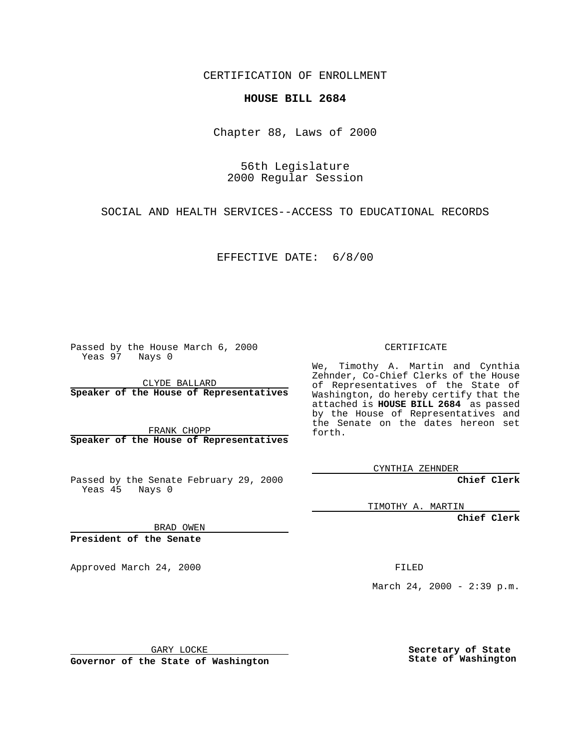CERTIFICATION OF ENROLLMENT

## **HOUSE BILL 2684**

Chapter 88, Laws of 2000

56th Legislature 2000 Regular Session

SOCIAL AND HEALTH SERVICES--ACCESS TO EDUCATIONAL RECORDS

EFFECTIVE DATE: 6/8/00

Passed by the House March 6, 2000 Yeas 97 Nays 0

CLYDE BALLARD **Speaker of the House of Representatives**

FRANK CHOPP **Speaker of the House of Representatives**

Passed by the Senate February 29, 2000 Yeas 45 Nays 0

CERTIFICATE

We, Timothy A. Martin and Cynthia Zehnder, Co-Chief Clerks of the House of Representatives of the State of Washington, do hereby certify that the attached is **HOUSE BILL 2684** as passed by the House of Representatives and the Senate on the dates hereon set forth.

CYNTHIA ZEHNDER

**Chief Clerk**

TIMOTHY A. MARTIN

**Chief Clerk**

BRAD OWEN

**President of the Senate**

Approved March 24, 2000 FILED

March 24, 2000 - 2:39 p.m.

GARY LOCKE

**Governor of the State of Washington**

**Secretary of State State of Washington**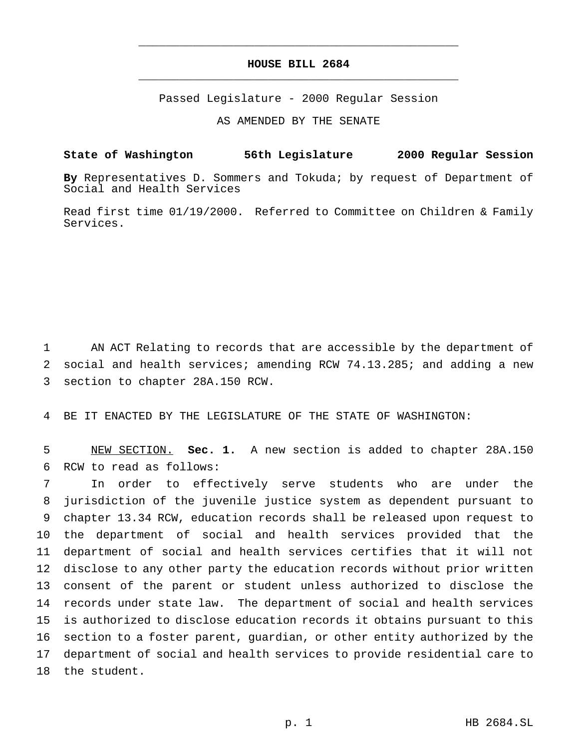## **HOUSE BILL 2684** \_\_\_\_\_\_\_\_\_\_\_\_\_\_\_\_\_\_\_\_\_\_\_\_\_\_\_\_\_\_\_\_\_\_\_\_\_\_\_\_\_\_\_\_\_\_\_

\_\_\_\_\_\_\_\_\_\_\_\_\_\_\_\_\_\_\_\_\_\_\_\_\_\_\_\_\_\_\_\_\_\_\_\_\_\_\_\_\_\_\_\_\_\_\_

Passed Legislature - 2000 Regular Session

AS AMENDED BY THE SENATE

## **State of Washington 56th Legislature 2000 Regular Session**

**By** Representatives D. Sommers and Tokuda; by request of Department of Social and Health Services

Read first time 01/19/2000. Referred to Committee on Children & Family Services.

 AN ACT Relating to records that are accessible by the department of social and health services; amending RCW 74.13.285; and adding a new section to chapter 28A.150 RCW.

BE IT ENACTED BY THE LEGISLATURE OF THE STATE OF WASHINGTON:

 NEW SECTION. **Sec. 1.** A new section is added to chapter 28A.150 RCW to read as follows:

 In order to effectively serve students who are under the jurisdiction of the juvenile justice system as dependent pursuant to chapter 13.34 RCW, education records shall be released upon request to the department of social and health services provided that the department of social and health services certifies that it will not disclose to any other party the education records without prior written consent of the parent or student unless authorized to disclose the records under state law. The department of social and health services is authorized to disclose education records it obtains pursuant to this section to a foster parent, guardian, or other entity authorized by the department of social and health services to provide residential care to the student.